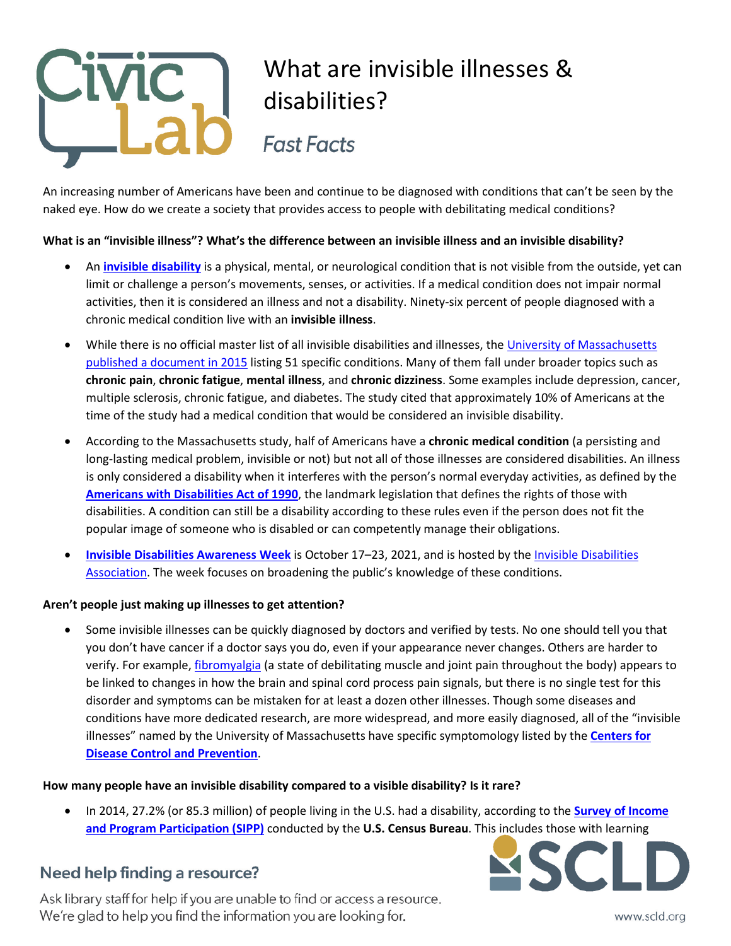

An increasing number of Americans have been and continue to be diagnosed with conditions that can't be seen by the naked eye. How do we create a society that provides access to people with debilitating medical conditions?

### **What is an "invisible illness"? What's the difference between an invisible illness and an invisible disability?**

- An **[invisible disability](https://invisibledisabilities.org/what-is-an-invisible-disability/)** is a physical, mental, or neurological condition that is not visible from the outside, yet can limit or challenge a person's movements, senses, or activities. If a medical condition does not impair normal activities, then it is considered an illness and not a disability. Ninety-six percent of people diagnosed with a chronic medical condition live with an **invisible illness**.
- While there is no official master list of all invisible disabilities and illnesses, the [University of Massachusetts](http://www.umass.edu/studentlife/sites/default/files/documents/pdf/Invisible%20Disabilities%20List%20%26%20Information.pdf)  [published a document in 2015](http://www.umass.edu/studentlife/sites/default/files/documents/pdf/Invisible%20Disabilities%20List%20%26%20Information.pdf) listing 51 specific conditions. Many of them fall under broader topics such as **chronic pain**, **chronic fatigue**, **mental illness**, and **chronic dizziness**. Some examples include depression, cancer, multiple sclerosis, chronic fatigue, and diabetes. The study cited that approximately 10% of Americans at the time of the study had a medical condition that would be considered an invisible disability.
- According to the Massachusetts study, half of Americans have a **chronic medical condition** (a persisting and long-lasting medical problem, invisible or not) but not all of those illnesses are considered disabilities. An illness is only considered a disability when it interferes with the person's normal everyday activities, as defined by the **[Americans with Disabilities Act of 1990](https://www.ada.gov/pubs/adastatute08.htm)**, the landmark legislation that defines the rights of those with disabilities. A condition can still be a disability according to these rules even if the person does not fit the popular image of someone who is disabled or can competently manage their obligations.
- **[Invisible Disabilities Awareness Week](https://invisibledisabilities.org/seminarsandevents/invisible-disabilities-week/)** is October 17–23, 2021, and is hosted by th[e Invisible Disabilities](https://invisibledisabilities.org/)  [Association.](https://invisibledisabilities.org/) The week focuses on broadening the public's knowledge of these conditions.

### **Aren't people just making up illnesses to get attention?**

• Some invisible illnesses can be quickly diagnosed by doctors and verified by tests. No one should tell you that you don't have cancer if a doctor says you do, even if your appearance never changes. Others are harder to verify. For example, [fibromyalgia](https://medlineplus.gov/fibromyalgia.html) (a state of debilitating muscle and joint pain throughout the body) appears to be linked to changes in how the brain and spinal cord process pain signals, but there is no single test for this disorder and symptoms can be mistaken for at least a dozen other illnesses. Though some diseases and conditions have more dedicated research, are more widespread, and more easily diagnosed, all of the "invisible illnesses" named by the University of Massachusetts have specific symptomology listed by the **[Centers for](https://www.cdc.gov/) [Disease Control and Prevention](https://www.cdc.gov/)**.

### **How many people have an invisible disability compared to a visible disability? Is it rare?**

• In 2014, 27.2% (or 85.3 million) of people living in the U.S. had a disability, according to the **[Survey of Income](https://www.census.gov/content/dam/Census/library/publications/2018/demo/p70-152.pdf)  [and Program Participation \(SIPP\)](https://www.census.gov/content/dam/Census/library/publications/2018/demo/p70-152.pdf)** conducted by the **U.S. Census Bureau**. This includes those with learning

## Need help finding a resource?



Ask library staff for help if you are unable to find or access a resource. We're glad to help you find the information you are looking for.